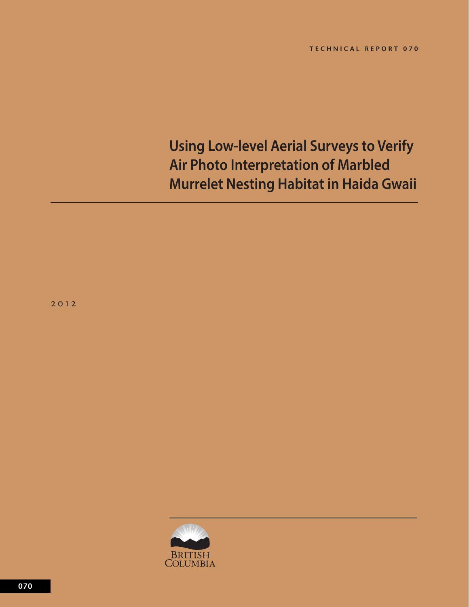# **Using Low-level Aerial Surveys to Verify Air Photo Interpretation of Marbled Murrelet Nesting Habitat in Haida Gwaii**

2 0 2

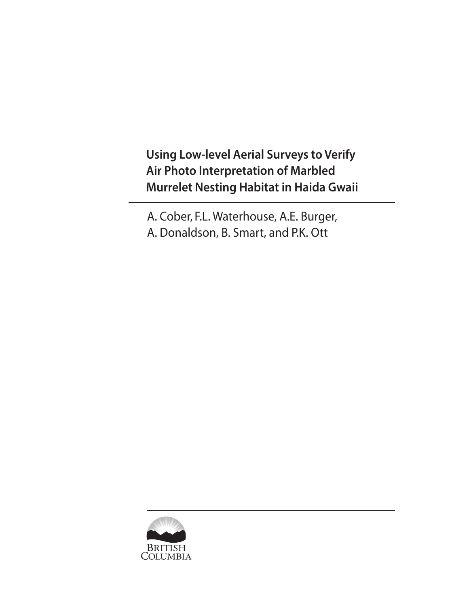**Using Low-level Aerial Surveys to Verify Air Photo Interpretation of Marbled Murrelet Nesting Habitat in Haida Gwaii**

A. Cober, F.L. Waterhouse, A.E. Burger, A. Donaldson, B. Smart, and P.K. Ott

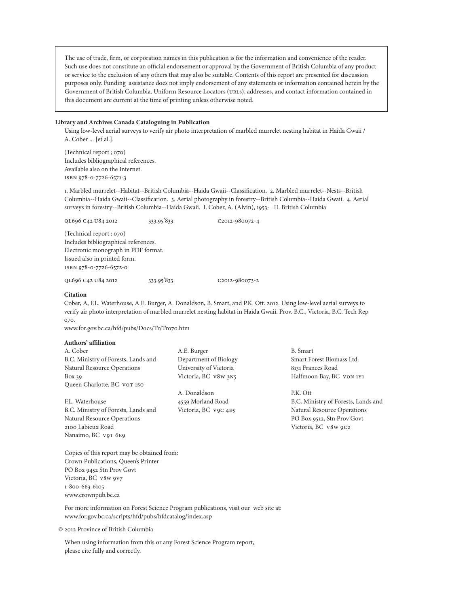The use of trade, firm, or corporation names in this publication is for the information and convenience of the reader. Such use does not constitute an official endorsement or approval by the Government of British Columbia of any product or service to the exclusion of any others that may also be suitable. Contents of this report are presented for discussion purposes only. Funding assistance does not imply endorsement of any statements or information contained herein by the Government of British Columbia. Uniform Resource Locators (urls), addresses, and contact information contained in this document are current at the time of printing unless otherwise noted.

#### **Library and Archives Canada Cataloguing in Publication**

Using low-level aerial surveys to verify air photo interpretation of marbled murrelet nesting habitat in Haida Gwaii / A. Cober ... [et al.].

(Technical report ; 070) Includes bibliographical references. Available also on the Internet. ISBN 978-0-7726-657-3

. Marbled murrelet--Habitat--British Columbia--Haida Gwaii--Classification. 2. Marbled murrelet--Nests--British Columbia--Haida Gwaii--Classification. 3. Aerial photography in forestry--British Columbia--Haida Gwaii. 4. Aerial surveys in forestry--British Columbia--Haida Gwaii. I. Cober, A. (Alvin), 953- II. British Columbia

QL696 C42 U84 2012 333.95'833 C2012-980072-4

(Technical report ; 070) Includes bibliographical references. Electronic monograph in PDF format. Issued also in printed form. ISBN 978-0-7726-6572-0

QL696 C42 U84 2012 333.95'833 C2012-980073-2

#### **Citation**

Cober, A, F.L. Waterhouse, A.E. Burger, A. Donaldson, B. Smart, and P.K. Ott. 202. Using low-level aerial surveys to verify air photo interpretation of marbled murrelet nesting habitat in Haida Gwaii. Prov. B.C., Victoria, B.C. Tech Rep 070.

www.for.gov.bc.ca/hfd/pubs/Docs/Tr/Tr070.htm

#### **Authors' affiliation**

Nanaimo, BC V9T 6E9

| A. Cober                            | A.E. Burger            | B. Sm           |
|-------------------------------------|------------------------|-----------------|
| B.C. Ministry of Forests, Lands and | Department of Biology  | Smart           |
| Natural Resource Operations         | University of Victoria | 8131 F          |
| $Box\ 39$                           | Victoria, BC v8w 3N5   | Halfn           |
| Queen Charlotte, BC vor 150         |                        |                 |
|                                     | A. Donaldson           | <b>P.K.</b> C   |
| F.L. Waterhouse                     | 4559 Morland Road      | B.C.            |
| B.C. Ministry of Forests, Lands and | Victoria, BC V9C 4E5   | Natur           |
| Natural Resource Operations         |                        | PO <sub>B</sub> |
| 2100 Labieux Road                   |                        | Victo:          |

lart t Forest Biomass Ltd. rances Road noon Bay, BC VON 1Y1

)tt Ministry of Forests, Lands and ral Resource Operations ox 9512, Stn Prov Govt Victoria, BC V8W 9C2

Copies of this report may be obtained from: Crown Publications, Queen's Printer PO Box 9452 Stn Prov Govt Victoria, BC v8w 9v7 1-800-663-6105 www.crownpub.bc.ca

For more information on Forest Science Program publications, visit our web site at: www.for.gov.bc.ca/scripts/hfd/pubs/hfdcatalog/index.asp

© 202 Province of British Columbia

When using information from this or any Forest Science Program report, please cite fully and correctly.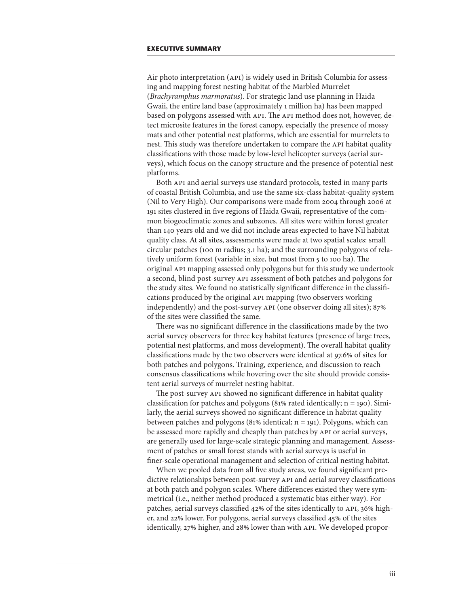Air photo interpretation (API) is widely used in British Columbia for assessing and mapping forest nesting habitat of the Marbled Murrelet (*Brachyramphus marmoratus*). For strategic land use planning in Haida Gwaii, the entire land base (approximately 1 million ha) has been mapped based on polygons assessed with API. The API method does not, however, detect microsite features in the forest canopy, especially the presence of mossy mats and other potential nest platforms, which are essential for murrelets to nest. This study was therefore undertaken to compare the API habitat quality classifications with those made by low-level helicopter surveys (aerial surveys), which focus on the canopy structure and the presence of potential nest platforms.

Both API and aerial surveys use standard protocols, tested in many parts of coastal British Columbia, and use the same six-class habitat-quality system (Nil to Very High). Our comparisons were made from 2004 through 2006 at 9 sites clustered in five regions of Haida Gwaii, representative of the common biogeoclimatic zones and subzones. All sites were within forest greater than 40 years old and we did not include areas expected to have Nil habitat quality class. At all sites, assessments were made at two spatial scales: small circular patches (100 m radius; 3.1 ha); and the surrounding polygons of relatively uniform forest (variable in size, but most from 5 to 100 ha). The original API mapping assessed only polygons but for this study we undertook a second, blind post-survey API assessment of both patches and polygons for the study sites. We found no statistically significant difference in the classifications produced by the original API mapping (two observers working independently) and the post-survey API (one observer doing all sites); 87% of the sites were classified the same.

There was no significant difference in the classifications made by the two aerial survey observers for three key habitat features (presence of large trees, potential nest platforms, and moss development). The overall habitat quality classifications made by the two observers were identical at 97.6% of sites for both patches and polygons. Training, experience, and discussion to reach consensus classifications while hovering over the site should provide consistent aerial surveys of murrelet nesting habitat.

The post-survey API showed no significant difference in habitat quality classification for patches and polygons (81% rated identically;  $n = 190$ ). Similarly, the aerial surveys showed no significant difference in habitat quality between patches and polygons (81% identical;  $n = 191$ ). Polygons, which can be assessed more rapidly and cheaply than patches by API or aerial surveys, are generally used for large-scale strategic planning and management. Assessment of patches or small forest stands with aerial surveys is useful in finer-scale operational management and selection of critical nesting habitat.

When we pooled data from all five study areas, we found significant predictive relationships between post-survey API and aerial survey classifications at both patch and polygon scales. Where differences existed they were symmetrical (i.e., neither method produced a systematic bias either way). For patches, aerial surveys classified 42% of the sites identically to API, 36% higher, and 22% lower. For polygons, aerial surveys classified 45% of the sites identically, 27% higher, and 28% lower than with API. We developed propor-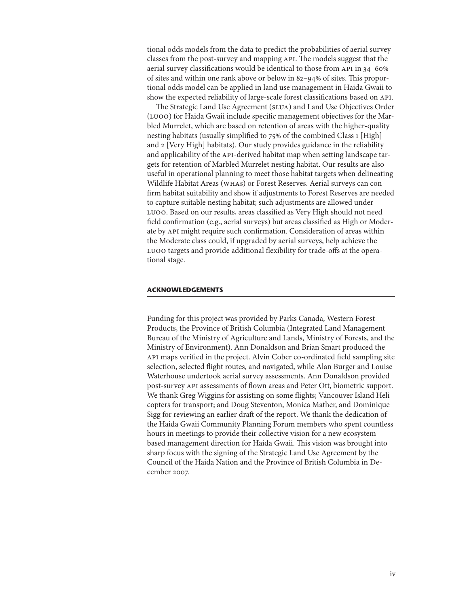tional odds models from the data to predict the probabilities of aerial survey classes from the post-survey and mapping API. The models suggest that the aerial survey classifications would be identical to those from API in 34–60% of sites and within one rank above or below in 82–94% of sites. This proportional odds model can be applied in land use management in Haida Gwaii to show the expected reliability of large-scale forest classifications based on API.

The Strategic Land Use Agreement (SLUA) and Land Use Objectives Order (LUOO) for Haida Gwaii include specific management objectives for the Marbled Murrelet, which are based on retention of areas with the higher-quality nesting habitats (usually simplified to 75% of the combined Class 1 [High] and 2 [Very High] habitats). Our study provides guidance in the reliability and applicability of the API-derived habitat map when setting landscape targets for retention of Marbled Murrelet nesting habitat. Our results are also useful in operational planning to meet those habitat targets when delineating Wildlife Habitat Areas (WHAs) or Forest Reserves. Aerial surveys can confirm habitat suitability and show if adjustments to Forest Reserves are needed to capture suitable nesting habitat; such adjustments are allowed under LUOO. Based on our results, areas classified as Very High should not need field confirmation (e.g., aerial surveys) but areas classified as High or Moderate by API might require such confirmation. Consideration of areas within the Moderate class could, if upgraded by aerial surveys, help achieve the LUOO targets and provide additional flexibility for trade-offs at the operational stage.

#### **ACKNOWLEDGEMENTS**

Funding for this project was provided by Parks Canada, Western Forest Products, the Province of British Columbia (Integrated Land Management Bureau of the Ministry of Agriculture and Lands, Ministry of Forests, and the Ministry of Environment). Ann Donaldson and Brian Smart produced the API maps verified in the project. Alvin Cober co-ordinated field sampling site selection, selected flight routes, and navigated, while Alan Burger and Louise Waterhouse undertook aerial survey assessments. Ann Donaldson provided post-survey API assessments of flown areas and Peter Ott, biometric support. We thank Greg Wiggins for assisting on some flights; Vancouver Island Helicopters for transport; and Doug Steventon, Monica Mather, and Dominique Sigg for reviewing an earlier draft of the report. We thank the dedication of the Haida Gwaii Community Planning Forum members who spent countless hours in meetings to provide their collective vision for a new ecosystembased management direction for Haida Gwaii. This vision was brought into sharp focus with the signing of the Strategic Land Use Agreement by the Council of the Haida Nation and the Province of British Columbia in December 2007.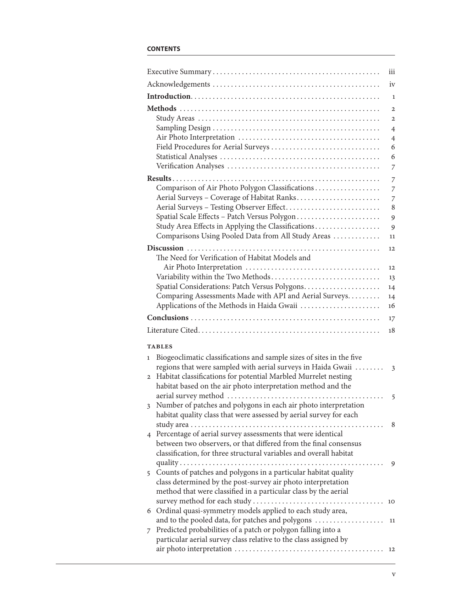### **CONTENTS**

| iii                                                                                                                                                                                                                                                                                                                       |                                                                                     |
|---------------------------------------------------------------------------------------------------------------------------------------------------------------------------------------------------------------------------------------------------------------------------------------------------------------------------|-------------------------------------------------------------------------------------|
|                                                                                                                                                                                                                                                                                                                           | iv                                                                                  |
|                                                                                                                                                                                                                                                                                                                           | $\mathbf{1}$                                                                        |
|                                                                                                                                                                                                                                                                                                                           | $\overline{2}$<br>$\overline{2}$<br>$\overline{4}$<br>$\overline{4}$<br>6<br>6<br>7 |
|                                                                                                                                                                                                                                                                                                                           | $\overline{7}$                                                                      |
| Comparison of Air Photo Polygon Classifications<br>Aerial Surveys - Coverage of Habitat Ranks<br>Aerial Surveys - Testing Observer Effect<br>Spatial Scale Effects - Patch Versus Polygon<br>Study Area Effects in Applying the Classifications<br>Comparisons Using Pooled Data from All Study Areas                     | $\overline{7}$<br>$\overline{7}$<br>8<br>9<br>9<br>11                               |
|                                                                                                                                                                                                                                                                                                                           | 12                                                                                  |
| The Need for Verification of Habitat Models and<br>Variability within the Two Methods<br>Spatial Considerations: Patch Versus Polygons<br>14                                                                                                                                                                              | 12<br>13                                                                            |
| Comparing Assessments Made with API and Aerial Surveys<br>14<br>Applications of the Methods in Haida Gwaii                                                                                                                                                                                                                |                                                                                     |
| 16                                                                                                                                                                                                                                                                                                                        |                                                                                     |
| 17<br>18                                                                                                                                                                                                                                                                                                                  |                                                                                     |
|                                                                                                                                                                                                                                                                                                                           |                                                                                     |
| <b>TABLES</b><br>Biogeoclimatic classifications and sample sizes of sites in the five<br>$\mathbf{1}$<br>regions that were sampled with aerial surveys in Haida Gwaii<br>Habitat classifications for potential Marbled Murrelet nesting<br>$\overline{2}$<br>habitat based on the air photo interpretation method and the | $\overline{\mathbf{3}}$                                                             |
| Number of patches and polygons in each air photo interpretation<br>3<br>habitat quality class that were assessed by aerial survey for each                                                                                                                                                                                | 5                                                                                   |
| 4 Percentage of aerial survey assessments that were identical<br>between two observers, or that differed from the final consensus<br>classification, for three structural variables and overall habitat                                                                                                                   | -8                                                                                  |
|                                                                                                                                                                                                                                                                                                                           |                                                                                     |
| 5 Counts of patches and polygons in a particular habitat quality<br>class determined by the post-survey air photo interpretation<br>method that were classified in a particular class by the aerial                                                                                                                       | 9                                                                                   |
| 10                                                                                                                                                                                                                                                                                                                        |                                                                                     |
| 6 Ordinal quasi-symmetry models applied to each study area,<br>and to the pooled data, for patches and polygons<br>11<br>Predicted probabilities of a patch or polygon falling into a<br>$\overline{7}$<br>particular aerial survey class relative to the class assigned by                                               |                                                                                     |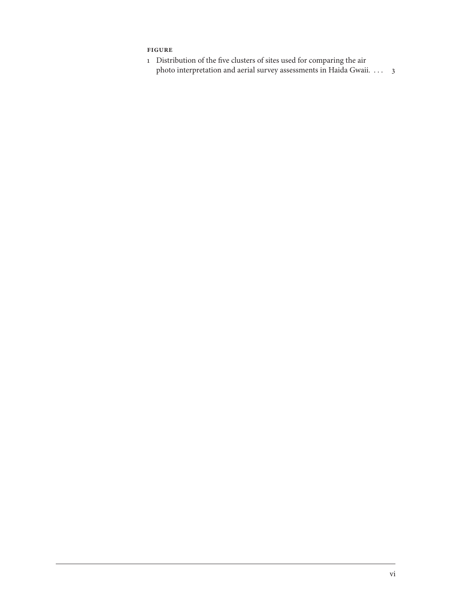# <span id="page-7-0"></span>**figure**

 Distribution of the five clusters of sites used for comparing the air photo interpretation and aerial survey assessments in Haida Gwaii.  $\dots$  3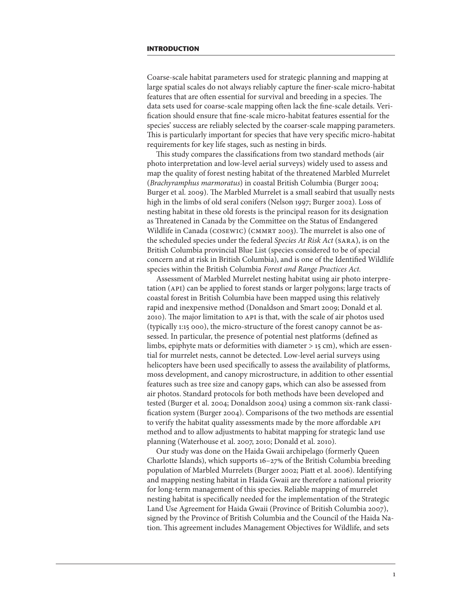<span id="page-8-0"></span>Coarse-scale habitat parameters used for strategic planning and mapping at large spatial scales do not always reliably capture the finer-scale micro-habitat features that are often essential for survival and breeding in a species. The data sets used for coarse-scale mapping often lack the fine-scale details. Verification should ensure that fine-scale micro-habitat features essential for the species' success are reliably selected by the coarser-scale mapping parameters. This is particularly important for species that have very specific micro-habitat requirements for key life stages, such as nesting in birds.

This study compares the classifications from two standard methods (air photo interpretation and low-level aerial surveys) widely used to assess and map the quality of forest nesting habitat of the threatened Marbled Murrelet (*Brachyramphus marmoratus*) in coastal British Columbia (Burger 2004; Burger et al. 2009). The Marbled Murrelet is a small seabird that usually nests high in the limbs of old seral conifers (Nelson 1997; Burger 2002). Loss of nesting habitat in these old forests is the principal reason for its designation as Threatened in Canada by the Committee on the Status of Endangered Wildlife in Canada (COSEWIC) (CMMRT 2003). The murrelet is also one of the scheduled species under the federal *Species At Risk Act* (SARA), is on the British Columbia provincial Blue List (species considered to be of special concern and at risk in British Columbia), and is one of the Identified Wildlife species within the British Columbia *Forest and Range Practices Act.*

Assessment of Marbled Murrelet nesting habitat using air photo interpretation (API) can be applied to forest stands or larger polygons; large tracts of coastal forest in British Columbia have been mapped using this relatively rapid and inexpensive method (Donaldson and Smart 2009; Donald et al. 200). The major limitation to API is that, with the scale of air photos used (typically 1:15 000), the micro-structure of the forest canopy cannot be assessed. In particular, the presence of potential nest platforms (defined as limbs, epiphyte mats or deformities with diameter  $>$  15 cm), which are essential for murrelet nests, cannot be detected. Low-level aerial surveys using helicopters have been used specifically to assess the availability of platforms, moss development, and canopy microstructure, in addition to other essential features such as tree size and canopy gaps, which can also be assessed from air photos. Standard protocols for both methods have been developed and tested (Burger et al. 2004; Donaldson 2004) using a common six-rank classification system (Burger 2004). Comparisons of the two methods are essential to verify the habitat quality assessments made by the more affordable API method and to allow adjustments to habitat mapping for strategic land use planning (Waterhouse et al. 2007, 2010; Donald et al. 2010).

Our study was done on the Haida Gwaii archipelago (formerly Queen Charlotte Islands), which supports  $16-27\%$  of the British Columbia breeding population of Marbled Murrelets (Burger 2002; Piatt et al. 2006). Identifying and mapping nesting habitat in Haida Gwaii are therefore a national priority for long-term management of this species. Reliable mapping of murrelet nesting habitat is specifically needed for the implementation of the Strategic Land Use Agreement for Haida Gwaii (Province of British Columbia 2007), signed by the Province of British Columbia and the Council of the Haida Nation. This agreement includes Management Objectives for Wildlife, and sets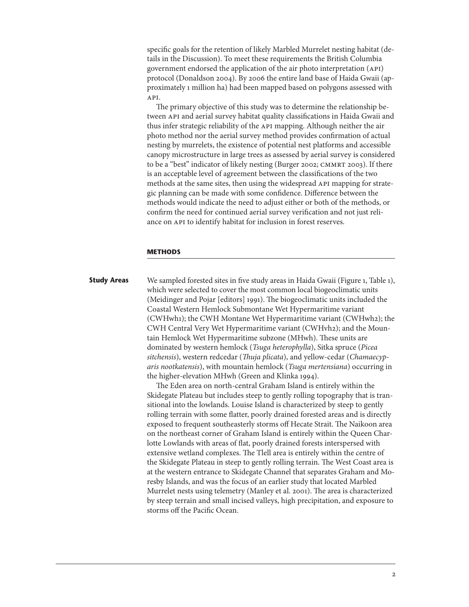<span id="page-9-0"></span>specific goals for the retention of likely Marbled Murrelet nesting habitat (details in the Discussion). To meet these requirements the British Columbia government endorsed the application of the air photo interpretation (API) protocol (Donaldson 2004). By 2006 the entire land base of Haida Gwaii (approximately 1 million ha) had been mapped based on polygons assessed with API.

The primary objective of this study was to determine the relationship between API and aerial survey habitat quality classifications in Haida Gwaii and thus infer strategic reliability of the API mapping. Although neither the air photo method nor the aerial survey method provides confirmation of actual nesting by murrelets, the existence of potential nest platforms and accessible canopy microstructure in large trees as assessed by aerial survey is considered to be a "best" indicator of likely nesting (Burger 2002; CMMRT 2003). If there is an acceptable level of agreement between the classifications of the two methods at the same sites, then using the widespread API mapping for strategic planning can be made with some confidence. Difference between the methods would indicate the need to adjust either or both of the methods, or confirm the need for continued aerial survey verification and not just reliance on API to identify habitat for inclusion in forest reserves.

#### **METHODS**

## **Study Areas** We sampled forested sites in five study areas in Haida Gwaii (Figure 1, Table 1), which were selected to cover the most common local biogeoclimatic units (Meidinger and Pojar [editors] 99). The biogeoclimatic units included the Coastal Western Hemlock Submontane Wet Hypermaritime variant (CWHwh); the CWH Montane Wet Hypermaritime variant (CWHwh2); the CWH Central Very Wet Hypermaritime variant (CWHvh2); and the Mountain Hemlock Wet Hypermaritime subzone (MHwh). These units are dominated by western hemlock (*Tsuga heterophylla*), Sitka spruce (*Picea sitchensis*), western redcedar (*Thuja plicata*), and yellow-cedar (*Chamaecyparis nootkatensis*), with mountain hemlock (*Tsuga mertensiana*) occurring in the higher-elevation MHwh (Green and Klinka 1994).

The Eden area on north-central Graham Island is entirely within the Skidegate Plateau but includes steep to gently rolling topography that is transitional into the lowlands. Louise Island is characterized by steep to gently rolling terrain with some flatter, poorly drained forested areas and is directly exposed to frequent southeasterly storms off Hecate Strait. The Naikoon area on the northeast corner of Graham Island is entirely within the Queen Charlotte Lowlands with areas of flat, poorly drained forests interspersed with extensive wetland complexes. The Tlell area is entirely within the centre of the Skidegate Plateau in steep to gently rolling terrain. The West Coast area is at the western entrance to Skidegate Channel that separates Graham and Moresby Islands, and was the focus of an earlier study that located Marbled Murrelet nests using telemetry (Manley et al. 200). The area is characterized by steep terrain and small incised valleys, high precipitation, and exposure to storms off the Pacific Ocean.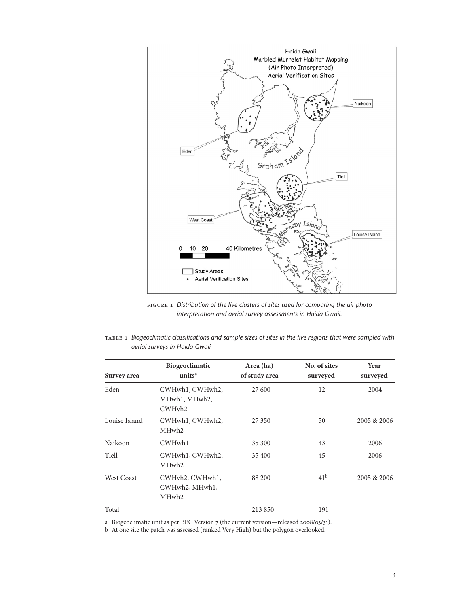<span id="page-10-0"></span>

Figure 1 *Distribution of the five clusters of sites used for comparing the air photo interpretation and aerial survey assessments in Haida Gwaii.*

| TABLE 1 Biogeoclimatic classifications and sample sizes of sites in the five regions that were sampled with |  |  |  |  |  |
|-------------------------------------------------------------------------------------------------------------|--|--|--|--|--|
| aerial surveys in Haida Gwaii                                                                               |  |  |  |  |  |

| Survey area       | Biogeoclimatic<br>units <sup>a</sup>                   | Area (ha)<br>of study area | No. of sites<br>surveyed | Year<br>surveyed |
|-------------------|--------------------------------------------------------|----------------------------|--------------------------|------------------|
| Eden              | CWHwh1, CWHwh2,<br>MHwh1, MHwh2,<br>CWH <sub>vh2</sub> | 27 600                     | 12                       | 2004             |
| Louise Island     | CWHwh1, CWHwh2,<br>MHwh <sub>2</sub>                   | 27 350                     | 50                       | 2005 & 2006      |
| Naikoon           | CWHwh1                                                 | 35 300                     | 43                       | 2006             |
| Tlell             | CWHwh1, CWHwh2,<br>MHwh <sub>2</sub>                   | 35 400                     | 45                       | 2006             |
| <b>West Coast</b> | CWHyh2, CWHwh1,<br>CWHwh2, MHwh1,<br>MHwh <sub>2</sub> | 88 200                     | 41 <sup>b</sup>          | 2005 & 2006      |
| Total             |                                                        | 213 850                    | 191                      |                  |

a Biogeoclimatic unit as per BEC Version  $7$  (the current version—released 2008/03/31).

b At one site the patch was assessed (ranked Very High) but the polygon overlooked.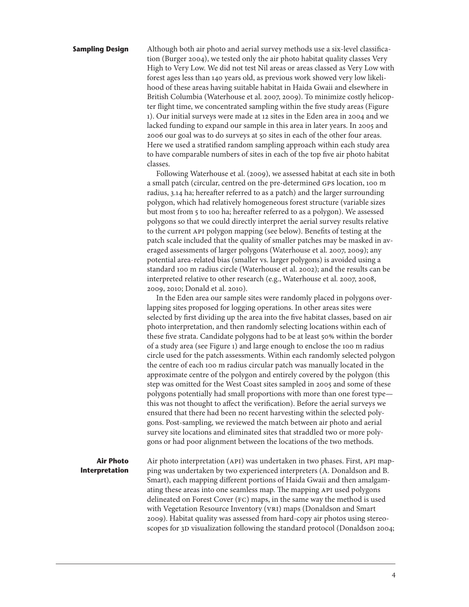<span id="page-11-0"></span>**Sampling Design** Although both air photo and aerial survey methods use a six-level classification (Burger 2004), we tested only the air photo habitat quality classes Very High to Very Low. We did not test Nil areas or areas classed as Very Low with forest ages less than 40 years old, as previous work showed very low likelihood of these areas having suitable habitat in Haida Gwaii and elsewhere in British Columbia (Waterhouse et al. 2007, 2009). To minimize costly helicopter flight time, we concentrated sampling within the five study areas (Figure 1). Our initial surveys were made at 12 sites in the Eden area in 2004 and we lacked funding to expand our sample in this area in later years. In 2005 and 2006 our goal was to do surveys at 50 sites in each of the other four areas. Here we used a stratified random sampling approach within each study area to have comparable numbers of sites in each of the top five air photo habitat classes.

> Following Waterhouse et al. (2009), we assessed habitat at each site in both a small patch (circular, centred on the pre-determined GPS location, 100 m radius, 3.4 ha; hereafter referred to as a patch) and the larger surrounding polygon, which had relatively homogeneous forest structure (variable sizes but most from 5 to 100 ha; hereafter referred to as a polygon). We assessed polygons so that we could directly interpret the aerial survey results relative to the current API polygon mapping (see below). Benefits of testing at the patch scale included that the quality of smaller patches may be masked in averaged assessments of larger polygons (Waterhouse et al. 2007, 2009); any potential area-related bias (smaller vs. larger polygons) is avoided using a standard 100 m radius circle (Waterhouse et al. 2002); and the results can be interpreted relative to other research (e.g., Waterhouse et al. 2007, 2008, 2009, 200; Donald et al. 200).

> In the Eden area our sample sites were randomly placed in polygons overlapping sites proposed for logging operations. In other areas sites were selected by first dividing up the area into the five habitat classes, based on air photo interpretation, and then randomly selecting locations within each of these five strata. Candidate polygons had to be at least 50% within the border of a study area (see Figure 1) and large enough to enclose the 100 m radius circle used for the patch assessments. Within each randomly selected polygon the centre of each 100 m radius circular patch was manually located in the approximate centre of the polygon and entirely covered by the polygon (this step was omitted for the West Coast sites sampled in 2005 and some of these polygons potentially had small proportions with more than one forest type this was not thought to affect the verification). Before the aerial surveys we ensured that there had been no recent harvesting within the selected polygons. Post-sampling, we reviewed the match between air photo and aerial survey site locations and eliminated sites that straddled two or more polygons or had poor alignment between the locations of the two methods.

**Air Photo Interpretation**

Air photo interpretation (API) was undertaken in two phases. First, API mapping was undertaken by two experienced interpreters (A. Donaldson and B. Smart), each mapping different portions of Haida Gwaii and then amalgamating these areas into one seamless map. The mapping API used polygons delineated on Forest Cover (FC) maps, in the same way the method is used with Vegetation Resource Inventory (VRI) maps (Donaldson and Smart 2009). Habitat quality was assessed from hard-copy air photos using stereoscopes for 3D visualization following the standard protocol (Donaldson 2004;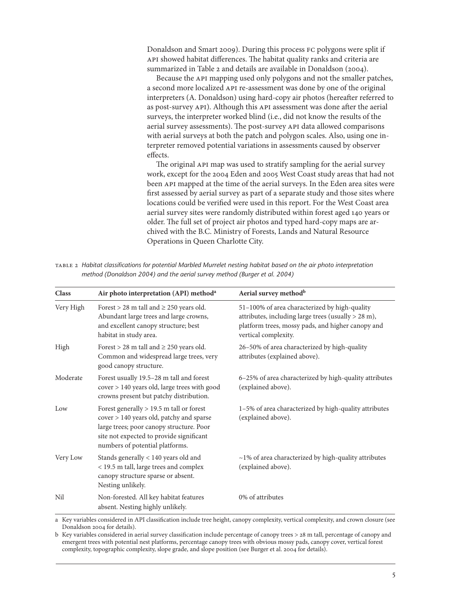Donaldson and Smart 2009). During this process FC polygons were split if API showed habitat differences. The habitat quality ranks and criteria are summarized in Table 2 and details are available in Donaldson (2004).

Because the API mapping used only polygons and not the smaller patches, a second more localized API re-assessment was done by one of the original interpreters (A. Donaldson) using hard-copy air photos (hereafter referred to as post-survey API). Although this API assessment was done after the aerial surveys, the interpreter worked blind (i.e., did not know the results of the aerial survey assessments). The post-survey API data allowed comparisons with aerial surveys at both the patch and polygon scales. Also, using one interpreter removed potential variations in assessments caused by observer effects.

The original API map was used to stratify sampling for the aerial survey work, except for the 2004 Eden and 2005 West Coast study areas that had not been API mapped at the time of the aerial surveys. In the Eden area sites were first assessed by aerial survey as part of a separate study and those sites where locations could be verified were used in this report. For the West Coast area aerial survey sites were randomly distributed within forest aged 40 years or older. The full set of project air photos and typed hard-copy maps are archived with the B.C. Ministry of Forests, Lands and Natural Resource Operations in Queen Charlotte City.

| TABLE 2 Habitat classifications for potential Marbled Murrelet nesting habitat based on the air photo interpretation |
|----------------------------------------------------------------------------------------------------------------------|
| method (Donaldson 2004) and the aerial survey method (Burger et al. 2004)                                            |

| <b>Class</b> | Air photo interpretation (API) method <sup>a</sup>                                                                                                                                                                | Aerial survey method <sup>b</sup>                                                                                                                                                 |
|--------------|-------------------------------------------------------------------------------------------------------------------------------------------------------------------------------------------------------------------|-----------------------------------------------------------------------------------------------------------------------------------------------------------------------------------|
| Very High    | Forest > 28 m tall and $\geq$ 250 years old.<br>Abundant large trees and large crowns,<br>and excellent canopy structure; best<br>habitat in study area.                                                          | 51-100% of area characterized by high-quality<br>attributes, including large trees (usually > 28 m),<br>platform trees, mossy pads, and higher canopy and<br>vertical complexity. |
| High         | Forest > 28 m tall and $\geq$ 250 years old.<br>Common and widespread large trees, very<br>good canopy structure.                                                                                                 | 26-50% of area characterized by high-quality<br>attributes (explained above).                                                                                                     |
| Moderate     | Forest usually 19.5-28 m tall and forest<br>cover > 140 years old, large trees with good<br>crowns present but patchy distribution.                                                                               | 6-25% of area characterized by high-quality attributes<br>(explained above).                                                                                                      |
| Low          | Forest generally $> 19.5$ m tall or forest<br>cover > 140 years old, patchy and sparse<br>large trees; poor canopy structure. Poor<br>site not expected to provide significant<br>numbers of potential platforms. | 1–5% of area characterized by high-quality attributes<br>(explained above).                                                                                                       |
| Very Low     | Stands generally < 140 years old and<br>< 19.5 m tall, large trees and complex<br>canopy structure sparse or absent.<br>Nesting unlikely.                                                                         | $~1\%$ of area characterized by high-quality attributes<br>(explained above).                                                                                                     |
| Nil          | Non-forested. All key habitat features<br>absent. Nesting highly unlikely.                                                                                                                                        | 0% of attributes                                                                                                                                                                  |

a Key variables considered in API classification include tree height, canopy complexity, vertical complexity, and crown closure (see Donaldson 2004 for details).

b Key variables considered in aerial survey classification include percentage of canopy trees > 28 m tall, percentage of canopy and emergent trees with potential nest platforms, percentage canopy trees with obvious mossy pads, canopy cover, vertical forest complexity, topographic complexity, slope grade, and slope position (see Burger et al. 2004 for details).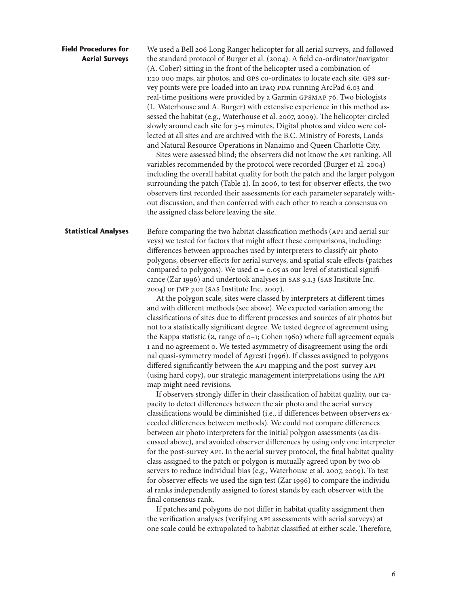<span id="page-13-0"></span>

| <b>Field Procedures for</b><br><b>Aerial Surveys</b> | We used a Bell 206 Long Ranger helicopter for all aerial surveys, and followed<br>the standard protocol of Burger et al. (2004). A field co-ordinator/navigator<br>(A. Cober) sitting in the front of the helicopter used a combination of<br>1:20 000 maps, air photos, and GPS co-ordinates to locate each site. GPS sur-<br>vey points were pre-loaded into an iPAQ PDA running ArcPad 6.03 and<br>real-time positions were provided by a Garmin GPSMAP 76. Two biologists<br>(L. Waterhouse and A. Burger) with extensive experience in this method as-<br>sessed the habitat (e.g., Waterhouse et al. 2007, 2009). The helicopter circled<br>slowly around each site for 3-5 minutes. Digital photos and video were col-<br>lected at all sites and are archived with the B.C. Ministry of Forests, Lands<br>and Natural Resource Operations in Nanaimo and Queen Charlotte City.<br>Sites were assessed blind; the observers did not know the API ranking. All<br>variables recommended by the protocol were recorded (Burger et al. 2004)<br>including the overall habitat quality for both the patch and the larger polygon<br>surrounding the patch (Table 2). In 2006, to test for observer effects, the two<br>observers first recorded their assessments for each parameter separately with-<br>out discussion, and then conferred with each other to reach a consensus on<br>the assigned class before leaving the site.                                                                                                                                                                                                                                                                                                                                                                                                                                                                                                                                                                                                                                                                                                                                                                                                                                                                                                                                                                                                                                                                                           |
|------------------------------------------------------|---------------------------------------------------------------------------------------------------------------------------------------------------------------------------------------------------------------------------------------------------------------------------------------------------------------------------------------------------------------------------------------------------------------------------------------------------------------------------------------------------------------------------------------------------------------------------------------------------------------------------------------------------------------------------------------------------------------------------------------------------------------------------------------------------------------------------------------------------------------------------------------------------------------------------------------------------------------------------------------------------------------------------------------------------------------------------------------------------------------------------------------------------------------------------------------------------------------------------------------------------------------------------------------------------------------------------------------------------------------------------------------------------------------------------------------------------------------------------------------------------------------------------------------------------------------------------------------------------------------------------------------------------------------------------------------------------------------------------------------------------------------------------------------------------------------------------------------------------------------------------------------------------------------------------------------------------------------------------------------------------------------------------------------------------------------------------------------------------------------------------------------------------------------------------------------------------------------------------------------------------------------------------------------------------------------------------------------------------------------------------------------------------------------------------------------------------------------------------------------------------------------------------------|
| <b>Statistical Analyses</b>                          | Before comparing the two habitat classification methods (API and aerial sur-<br>veys) we tested for factors that might affect these comparisons, including:<br>differences between approaches used by interpreters to classify air photo<br>polygons, observer effects for aerial surveys, and spatial scale effects (patches<br>compared to polygons). We used $\alpha$ = 0.05 as our level of statistical signifi-<br>cance (Zar 1996) and undertook analyses in SAS 9.1.3 (SAS Institute Inc.<br>2004) or JMP 7.02 (SAS Institute Inc. 2007).<br>At the polygon scale, sites were classed by interpreters at different times<br>and with different methods (see above). We expected variation among the<br>classifications of sites due to different processes and sources of air photos but<br>not to a statistically significant degree. We tested degree of agreement using<br>the Kappa statistic $(x, \text{range of } o-1; \text{Cohen } 1960)$ where full agreement equals<br>1 and no agreement o. We tested asymmetry of disagreement using the ordi-<br>nal quasi-symmetry model of Agresti (1996). If classes assigned to polygons<br>differed significantly between the API mapping and the post-survey API<br>(using hard copy), our strategic management interpretations using the API<br>map might need revisions.<br>If observers strongly differ in their classification of habitat quality, our ca-<br>pacity to detect differences between the air photo and the aerial survey<br>classifications would be diminished (i.e., if differences between observers ex-<br>ceeded differences between methods). We could not compare differences<br>between air photo interpreters for the initial polygon assessments (as dis-<br>cussed above), and avoided observer differences by using only one interpreter<br>for the post-survey API. In the aerial survey protocol, the final habitat quality<br>class assigned to the patch or polygon is mutually agreed upon by two ob-<br>servers to reduce individual bias (e.g., Waterhouse et al. 2007, 2009). To test<br>for observer effects we used the sign test (Zar 1996) to compare the individu-<br>al ranks independently assigned to forest stands by each observer with the<br>final consensus rank.<br>If patches and polygons do not differ in habitat quality assignment then<br>the verification analyses (verifying API assessments with aerial surveys) at<br>one scale could be extrapolated to habitat classified at either scale. Therefore, |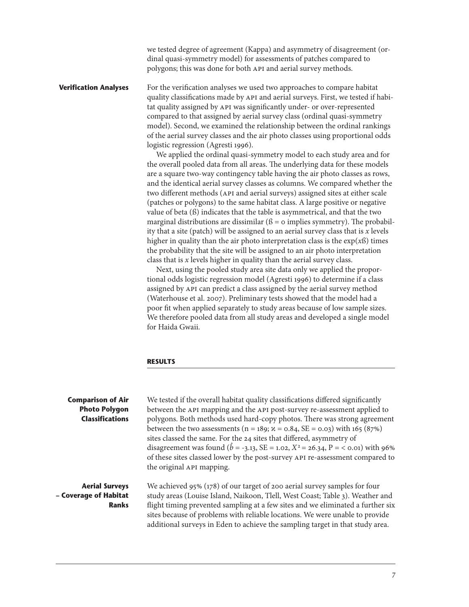we tested degree of agreement (Kappa) and asymmetry of disagreement (ordinal quasi-symmetry model) for assessments of patches compared to polygons; this was done for both API and aerial survey methods.

<span id="page-14-0"></span>**Verification Analyses** For the verification analyses we used two approaches to compare habitat quality classifications made by API and aerial surveys. First, we tested if habitat quality assigned by API was significantly under- or over-represented compared to that assigned by aerial survey class (ordinal quasi-symmetry model). Second, we examined the relationship between the ordinal rankings of the aerial survey classes and the air photo classes using proportional odds logistic regression (Agresti 1996).

> We applied the ordinal quasi-symmetry model to each study area and for the overall pooled data from all areas. The underlying data for these models are a square two-way contingency table having the air photo classes as rows, and the identical aerial survey classes as columns. We compared whether the two different methods (API and aerial surveys) assigned sites at either scale (patches or polygons) to the same habitat class. A large positive or negative value of beta (ß) indicates that the table is asymmetrical, and that the two marginal distributions are dissimilar ( $\beta$  = 0 implies symmetry). The probability that a site (patch) will be assigned to an aerial survey class that is *x* levels higher in quality than the air photo interpretation class is the exp(*x*ß) times the probability that the site will be assigned to an air photo interpretation class that is  $x$  levels higher in quality than the aerial survey class.

Next, using the pooled study area site data only we applied the proportional odds logistic regression model (Agresti 996) to determine if a class assigned by API can predict a class assigned by the aerial survey method (Waterhouse et al. 2007). Preliminary tests showed that the model had a poor fit when applied separately to study areas because of low sample sizes. We therefore pooled data from all study areas and developed a single model for Haida Gwaii.

#### **RESULTS**

| <b>Comparison of Air</b><br><b>Photo Polygon</b><br><b>Classifications</b> | We tested if the overall habitat quality classifications differed significantly<br>between the API mapping and the API post-survey re-assessment applied to<br>polygons. Both methods used hard-copy photos. There was strong agreement<br>between the two assessments ( $n = 189$ ; $\alpha = 0.84$ , SE = 0.03) with 165 (87%)<br>sites classed the same. For the 24 sites that differed, asymmetry of<br>disagreement was found ( $\ddot{b}$ = -3.13, SE = 1.02, X <sup>2</sup> = 26.34, P = < 0.01) with 96%<br>of these sites classed lower by the post-survey API re-assessment compared to<br>the original API mapping. |
|----------------------------------------------------------------------------|--------------------------------------------------------------------------------------------------------------------------------------------------------------------------------------------------------------------------------------------------------------------------------------------------------------------------------------------------------------------------------------------------------------------------------------------------------------------------------------------------------------------------------------------------------------------------------------------------------------------------------|
| <b>Aerial Surveys</b><br>- Coverage of Habitat<br><b>Ranks</b>             | We achieved 95% (178) of our target of 200 aerial survey samples for four<br>study areas (Louise Island, Naikoon, Tlell, West Coast; Table 3). Weather and<br>flight timing prevented sampling at a few sites and we eliminated a further six<br>sites because of problems with reliable locations. We were unable to provide<br>additional surveys in Eden to achieve the sampling target in that study area.                                                                                                                                                                                                                 |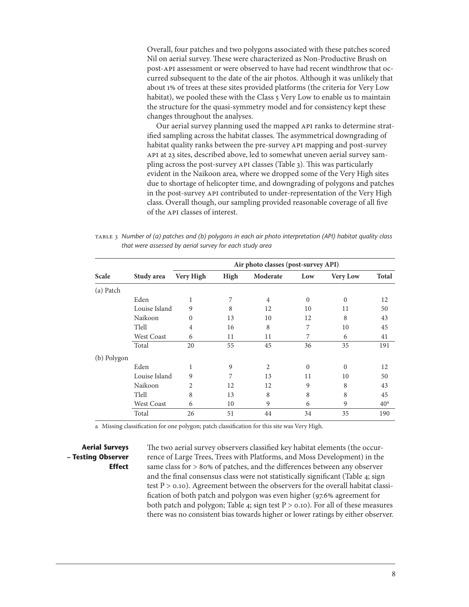<span id="page-15-0"></span>Overall, four patches and two polygons associated with these patches scored Nil on aerial survey. These were characterized as Non-Productive Brush on post-API assessment or were observed to have had recent windthrow that occurred subsequent to the date of the air photos. Although it was unlikely that about 1% of trees at these sites provided platforms (the criteria for Very Low habitat), we pooled these with the Class 5 Very Low to enable us to maintain the structure for the quasi-symmetry model and for consistency kept these changes throughout the analyses.

Our aerial survey planning used the mapped API ranks to determine stratified sampling across the habitat classes. The asymmetrical downgrading of habitat quality ranks between the pre-survey API mapping and post-survey API at 23 sites, described above, led to somewhat uneven aerial survey sampling across the post-survey API classes (Table 3). This was particularly evident in the Naikoon area, where we dropped some of the Very High sites due to shortage of helicopter time, and downgrading of polygons and patches in the post-survey API contributed to under-representation of the Very High class. Overall though, our sampling provided reasonable coverage of all five of the API classes of interest.

Table 3 *Number of (a) patches and (b) polygons in each air photo interpretation (API) habitat quality class that were assessed by aerial survey for each study area*

|             |                   | Air photo classes (post-survey API) |      |                |              |                 |                 |  |  |  |
|-------------|-------------------|-------------------------------------|------|----------------|--------------|-----------------|-----------------|--|--|--|
| Scale       | Study area        | Very High                           | High | Moderate       | Low          | <b>Very Low</b> | <b>Total</b>    |  |  |  |
| (a) Patch   |                   |                                     |      |                |              |                 |                 |  |  |  |
|             | Eden              | 1                                   | 7    | $\overline{4}$ | $\Omega$     | $\mathbf{0}$    | 12              |  |  |  |
|             | Louise Island     | 9                                   | 8    | 12             | 10           | 11              | 50              |  |  |  |
|             | Naikoon           | $\theta$                            | 13   | 10             | 12           | 8               | 43              |  |  |  |
|             | Tlell             | $\overline{4}$                      | 16   | 8              | 7            | 10              | 45              |  |  |  |
|             | <b>West Coast</b> | 6                                   | 11   | 11             | 7            | 6               | 41              |  |  |  |
|             | Total             | 20                                  | 55   | 45             | 36           | 35              | 191             |  |  |  |
| (b) Polygon |                   |                                     |      |                |              |                 |                 |  |  |  |
|             | Eden              | 1                                   | 9    | $\overline{2}$ | $\mathbf{0}$ | $\mathbf{0}$    | 12              |  |  |  |
|             | Louise Island     | 9                                   | 7    | 13             | 11           | 10              | 50              |  |  |  |
|             | Naikoon           | 2                                   | 12   | 12             | 9            | 8               | 43              |  |  |  |
|             | Tlell             | 8                                   | 13   | 8              | 8            | 8               | 45              |  |  |  |
|             | <b>West Coast</b> | 6                                   | 10   | 9              | 6            | 9               | 40 <sup>a</sup> |  |  |  |
|             | Total             | 26                                  | 51   | 44             | 34           | 35              | 190             |  |  |  |

a Missing classification for one polygon; patch classification for this site was Very High.

#### **Aerial Surveys – Testing Observer Effect**

The two aerial survey observers classified key habitat elements (the occurrence of Large Trees, Trees with Platforms, and Moss Development) in the same class for > 80% of patches, and the differences between any observer and the final consensus class were not statistically significant (Table 4; sign test  $P > 0.10$ ). Agreement between the observers for the overall habitat classification of both patch and polygon was even higher (97.6% agreement for both patch and polygon; Table 4; sign test  $P > 0.10$ ). For all of these measures there was no consistent bias towards higher or lower ratings by either observer.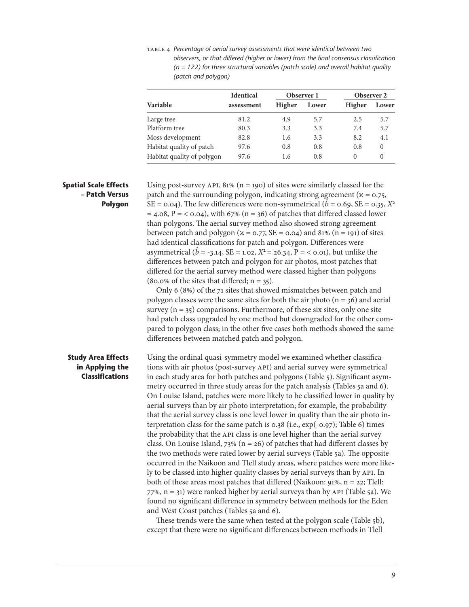<span id="page-16-0"></span>Table 4 *Percentage of aerial survey assessments that were identical between two observers, or that differed (higher or lower) from the final consensus classification (n = 122) for three structural variables (patch scale) and overall habitat quality (patch and polygon)*

|                            | <b>Identical</b> |        | Observer 1 | Observer 2 |          |  |
|----------------------------|------------------|--------|------------|------------|----------|--|
| <b>Variable</b>            | assessment       | Higher | Lower      | Higher     | Lower    |  |
| Large tree                 | 81.2             | 4.9    | 5.7        | 2.5        | 5.7      |  |
| Platform tree              | 80.3             | 3.3    | 3.3        | 7.4        | 5.7      |  |
| Moss development           | 82.8             | 1.6    | 3.3        | 8.2        | 4.1      |  |
| Habitat quality of patch   | 97.6             | 0.8    | 0.8        | 0.8        | $\theta$ |  |
| Habitat quality of polygon | 97.6             | 1.6    | 0.8        | 0          | $\theta$ |  |

#### **Spatial Scale Effects – Patch Versus Polygon**

Using post-survey API,  $81\%$  (n = 190) of sites were similarly classed for the patch and the surrounding polygon, indicating strong agreement ( $x = 0.75$ , SE = 0.04). The few differences were non-symmetrical ( $\hat{b}$  = 0.69, SE = 0.35, *X*<sup>2</sup>  $= 4.08$ ,  $P = < 0.04$ ), with 67% (n = 36) of patches that differed classed lower than polygons. The aerial survey method also showed strong agreement between patch and polygon ( $x = 0.77$ , SE = 0.04) and 81% (n = 191) of sites had identical classifications for patch and polygon. Differences were asymmetrical ( $\hat{b}$  = -3.14, SE = 1.02,  $X^2$  = 26.34, P = < 0.01), but unlike the differences between patch and polygon for air photos, most patches that differed for the aerial survey method were classed higher than polygons  $(80.0\% \text{ of the sites that differed}; n = 35).$ 

Only 6 (8%) of the 71 sites that showed mismatches between patch and polygon classes were the same sites for both the air photo ( $n = 36$ ) and aerial survey  $(n = 35)$  comparisons. Furthermore, of these six sites, only one site had patch class upgraded by one method but downgraded for the other compared to polygon class; in the other five cases both methods showed the same differences between matched patch and polygon.

#### **Study Area Effects in Applying the Classifications**

Using the ordinal quasi-symmetry model we examined whether classifications with air photos (post-survey API) and aerial survey were symmetrical in each study area for both patches and polygons (Table 5). Significant asymmetry occurred in three study areas for the patch analysis (Tables 5a and 6). On Louise Island, patches were more likely to be classified lower in quality by aerial surveys than by air photo interpretation; for example, the probability that the aerial survey class is one level lower in quality than the air photo interpretation class for the same patch is 0.38 (i.e., exp(-0.97); Table 6) times the probability that the API class is one level higher than the aerial survey class. On Louise Island, 73% ( $n = 26$ ) of patches that had different classes by the two methods were rated lower by aerial surveys (Table 5a). The opposite occurred in the Naikoon and Tlell study areas, where patches were more likely to be classed into higher quality classes by aerial surveys than by API. In both of these areas most patches that differed (Naikoon:  $91\%$ ,  $n = 22$ ; Tlell:  $77\%$ ,  $n = 31$ ) were ranked higher by aerial surveys than by API (Table 5a). We found no significant difference in symmetry between methods for the Eden and West Coast patches (Tables 5a and 6).

These trends were the same when tested at the polygon scale (Table 5b), except that there were no significant differences between methods in Tlell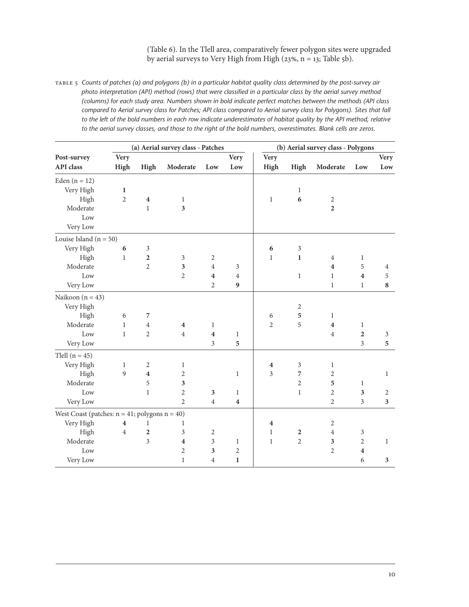(Table 6). In the Tlell area, comparatively fewer polygon sites were upgraded by aerial surveys to Very High from High (23%,  $n = 13$ ; Table 5b).

<span id="page-17-0"></span>Table 5 *Counts of patches (a) and polygons (b) in a particular habitat quality class determined by the post-survey air photo interpretation (API) method (rows) that were classified in a particular class by the aerial survey method (columns) for each study area. Numbers shown in bold indicate perfect matches between the methods (API class compared to Aerial survey class for Patches; API class compared to Aerial survey class for Polygons). Sites that fall*  to the left of the bold numbers in each row indicate underestimates of habitat quality by the API method, relative *to the aerial survey classes, and those to the right of the bold numbers, overestimates. Blank cells are zeros.*

|                                                     | (a) Aerial survey class - Patches |                  |                         |                         |                  | (b) Aerial survey class - Polygons |                |                         |                         |                |
|-----------------------------------------------------|-----------------------------------|------------------|-------------------------|-------------------------|------------------|------------------------------------|----------------|-------------------------|-------------------------|----------------|
| Post-survey                                         | <b>Very</b>                       |                  |                         |                         | <b>Very</b>      | <b>Very</b>                        |                |                         |                         | <b>Very</b>    |
| API class                                           | High                              | High             | Moderate                | Low                     | Low              | High                               | High           | Moderate                | Low                     | Low            |
| Eden $(n = 12)$                                     |                                   |                  |                         |                         |                  |                                    |                |                         |                         |                |
| Very High                                           | $\mathbf 1$                       |                  |                         |                         |                  |                                    | $\mathbf{1}$   |                         |                         |                |
| High                                                | $\overline{2}$                    | $\boldsymbol{4}$ | $\mathbf{1}$            |                         |                  | $\mathbf{1}$                       | 6              | $\sqrt{2}$              |                         |                |
| Moderate                                            |                                   | $\mathbf{1}$     | $\overline{\mathbf{3}}$ |                         |                  |                                    |                | $\overline{2}$          |                         |                |
| Low                                                 |                                   |                  |                         |                         |                  |                                    |                |                         |                         |                |
| Very Low                                            |                                   |                  |                         |                         |                  |                                    |                |                         |                         |                |
| Louise Island ( $n = 50$ )                          |                                   |                  |                         |                         |                  |                                    |                |                         |                         |                |
| Very High                                           | 6                                 | 3                |                         |                         |                  | 6                                  | 3              |                         |                         |                |
| High                                                | $\mathbf{1}$                      | $\overline{2}$   | 3                       | $\mathfrak{2}$          |                  | $\mathbf{1}$                       | $\mathbf{1}$   | 4                       | $\mathbf{1}$            |                |
| Moderate                                            |                                   | $\overline{2}$   | 3                       | $\overline{4}$          | 3                |                                    |                | $\overline{\mathbf{4}}$ | 5                       | $\overline{4}$ |
| Low                                                 |                                   |                  | $\overline{2}$          | $\boldsymbol{4}$        | 4                |                                    | $\mathbf{1}$   | $\mathbf{1}$            | $\overline{\mathbf{4}}$ | 5              |
| Very Low                                            |                                   |                  |                         | $\overline{2}$          | $\boldsymbol{9}$ |                                    |                | $\mathbf{1}$            | $\mathbf{1}$            | 8              |
| Naikoon (n = $43$ )                                 |                                   |                  |                         |                         |                  |                                    |                |                         |                         |                |
| Very High                                           |                                   |                  |                         |                         |                  |                                    | $\sqrt{2}$     |                         |                         |                |
| High                                                | 6                                 | 7                |                         |                         |                  | 6                                  | 5              | 1                       |                         |                |
| Moderate                                            | $\mathbf{1}$                      | $\overline{4}$   | $\overline{\mathbf{4}}$ | $\mathbf{1}$            |                  | $\overline{2}$                     | 5              | $\overline{\mathbf{4}}$ | $\mathbf{1}$            |                |
| Low                                                 | $\mathbf{1}$                      | $\overline{2}$   | $\overline{4}$          | $\overline{\mathbf{4}}$ | $\mathbf{1}$     |                                    |                | $\overline{4}$          | $\overline{2}$          | $\mathfrak{Z}$ |
| Very Low                                            |                                   |                  |                         | 3                       | 5                |                                    |                |                         | 3                       | 5              |
| Tlell $(n = 45)$                                    |                                   |                  |                         |                         |                  |                                    |                |                         |                         |                |
| Very High                                           | 1                                 | 2                | 1                       |                         |                  | $\overline{\mathbf{4}}$            | $\mathfrak{Z}$ | 1                       |                         |                |
| High                                                | $\overline{9}$                    | $\boldsymbol{4}$ | $\overline{c}$          |                         | $\mathbf{1}$     | 3                                  | $\overline{7}$ | 2                       |                         | $\mathbf{1}$   |
| Moderate                                            |                                   | 5                | 3                       |                         |                  |                                    | $\overline{2}$ | 5                       | 1                       |                |
| Low                                                 |                                   | $\mathbf{1}$     | $\overline{2}$          | $\mathfrak{Z}$          | $\mathbf{1}$     |                                    | $\mathbf{1}$   | $\overline{2}$          | 3                       | $\sqrt{2}$     |
| Very Low                                            |                                   |                  | $\overline{2}$          | $\overline{4}$          | $\bf{4}$         |                                    |                | $\overline{2}$          | 3                       | $\mathbf{3}$   |
| West Coast (patches: $n = 41$ ; polygons $n = 40$ ) |                                   |                  |                         |                         |                  |                                    |                |                         |                         |                |
| Very High                                           | $\overline{\mathbf{4}}$           | 1                | 1                       |                         |                  | $\boldsymbol{4}$                   |                | $\sqrt{2}$              |                         |                |
| High                                                | $\overline{4}$                    | $\overline{2}$   | 3                       | $\mathfrak{2}$          |                  | $\mathbf{1}$                       | $\mathbf 2$    | $\overline{4}$          | $\mathfrak{Z}$          |                |
| Moderate                                            |                                   | 3                | $\overline{\mathbf{4}}$ | 3                       | $\mathbf{1}$     | $\mathbf{1}$                       | $\mathbf{2}$   | 3                       | $\overline{2}$          | 1              |
| Low                                                 |                                   |                  | $\overline{2}$          | 3                       | $\mathbf{2}$     |                                    |                | $\overline{2}$          | $\overline{\mathbf{4}}$ |                |
| Very Low                                            |                                   |                  | $\mathbf{1}$            | $\overline{4}$          | 1                |                                    |                |                         | 6                       | 3              |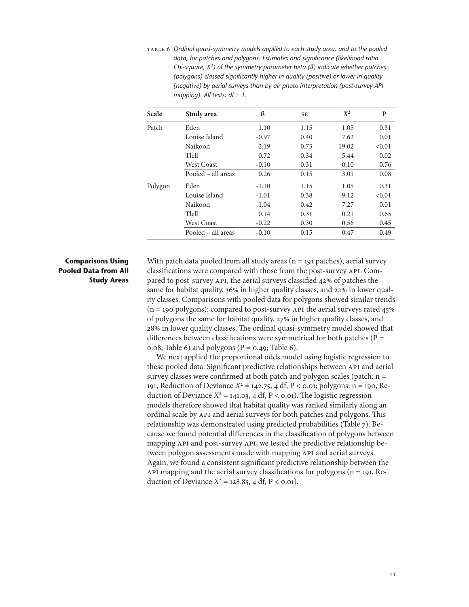<span id="page-18-0"></span>Table 6 *Ordinal quasi-symmetry models applied to each study area, and to the pooled data, for patches and polygons. Estimates and significance (likelihood ratio Chi-square, X2) of the symmetry parameter beta (ß) indicate whether patches (polygons) classed significantly higher in quality (positive) or lower in quality (negative) by aerial surveys than by air photo interpretation (post-survey API mapping). All tests: df = 1.*

| Scale   | Study area         | ß       | SE   | $X^2$ | P      |
|---------|--------------------|---------|------|-------|--------|
| Patch   | Eden               | 1.10    | 1.15 | 1.05  | 0.31   |
|         | Louise Island      | $-0.97$ | 0.40 | 7.62  | 0.01   |
|         | Naikoon            | 2.19    | 0.73 | 19.02 | < 0.01 |
|         | Tlell              | 0.72    | 0.34 | 5.44  | 0.02   |
|         | <b>West Coast</b>  | $-0.10$ | 0.31 | 0.10  | 0.76   |
|         | Pooled - all areas | 0.26    | 0.15 | 3.01  | 0.08   |
| Polygon | Eden               | $-1.10$ | 1.15 | 1.05  | 0.31   |
|         | Louise Island      | $-1.01$ | 0.38 | 9.12  | < 0.01 |
|         | Naikoon            | 1.04    | 0.42 | 7.27  | 0.01   |
|         | Tlell              | 0.14    | 0.31 | 0.21  | 0.65   |
|         | <b>West Coast</b>  | $-0.22$ | 0.30 | 0.56  | 0.45   |
|         | Pooled – all areas | $-0.10$ | 0.15 | 0.47  | 0.49   |

### **Comparisons Using Pooled Data from All Study Areas**

With patch data pooled from all study areas  $(n = 191$  patches), aerial survey classifications were compared with those from the post-survey API. Compared to post-survey API, the aerial surveys classified 42% of patches the same for habitat quality, 36% in higher quality classes, and 22% in lower quality classes. Comparisons with pooled data for polygons showed similar trends  $(n = 190 \text{ polygons})$ : compared to post-survey API the aerial surveys rated 45% of polygons the same for habitat quality, 27% in higher quality classes, and 28% in lower quality classes. The ordinal quasi-symmetry model showed that differences between classifications were symmetrical for both patches ( $P =$ 0.08; Table 6) and polygons ( $P = 0.49$ ; Table 6).

We next applied the proportional odds model using logistic regression to these pooled data. Significant predictive relationships between API and aerial survey classes were confirmed at both patch and polygon scales (patch:  $n =$ 191, Reduction of Deviance *X*<sup>2</sup> = 142.75, 4 df, P < 0.01; polygons: n = 190, Reduction of Deviance  $X^2 = 141.03$ , 4 df, P < 0.01). The logistic regression models therefore showed that habitat quality was ranked similarly along an ordinal scale by API and aerial surveys for both patches and polygons. This relationship was demonstrated using predicted probabilities (Table 7). Because we found potential differences in the classification of polygons between mapping API and post-survey API, we tested the predictive relationship between polygon assessments made with mapping API and aerial surveys. Again, we found a consistent significant predictive relationship between the API mapping and the aerial survey classifications for polygons ( $n = 191$ , Reduction of Deviance  $X^2 = 128.85$ , 4 df, P < 0.01).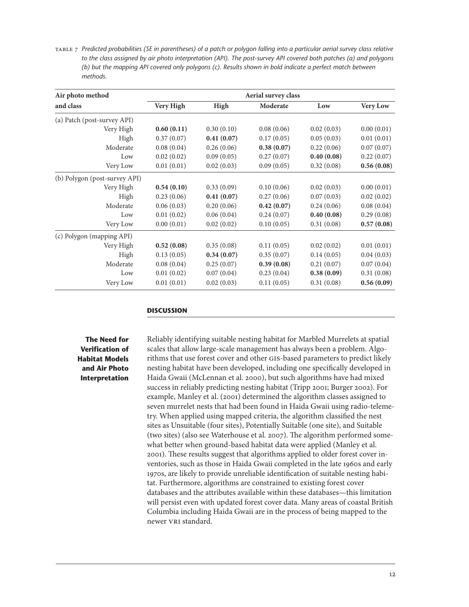<span id="page-19-0"></span>Table 7 *Predicted probabilities (SE in parentheses) of a patch or polygon falling into a particular aerial survey class relative to the class assigned by air photo interpretation (API). The post-survey API covered both patches (a) and polygons (b) but the mapping API covered only polygons (c). Results shown in bold indicate a perfect match between methods.*

| Air photo method<br>and class | Aerial survey class |            |            |            |                 |
|-------------------------------|---------------------|------------|------------|------------|-----------------|
|                               | Very High           | High       | Moderate   | Low        | <b>Very Low</b> |
| (a) Patch (post-survey API)   |                     |            |            |            |                 |
| Very High                     | 0.60(0.11)          | 0.30(0.10) | 0.08(0.06) | 0.02(0.03) | 0.00(0.01)      |
| High                          | 0.37(0.07)          | 0.41(0.07) | 0.17(0.05) | 0.05(0.03) | 0.01(0.01)      |
| Moderate                      | 0.08(0.04)          | 0.26(0.06) | 0.38(0.07) | 0.22(0.06) | 0.07(0.07)      |
| Low                           | 0.02(0.02)          | 0.09(0.05) | 0.27(0.07) | 0.40(0.08) | 0.22(0.07)      |
| Very Low                      | 0.01(0.01)          | 0.02(0.03) | 0.09(0.05) | 0.32(0.08) | 0.56(0.08)      |
| (b) Polygon (post-survey API) |                     |            |            |            |                 |
| Very High                     | 0.54(0.10)          | 0.33(0.09) | 0.10(0.06) | 0.02(0.03) | 0.00(0.01)      |
| High                          | 0.23(0.06)          | 0.41(0.07) | 0.27(0.06) | 0.07(0.03) | 0.02(0.02)      |
| Moderate                      | 0.06(0.03)          | 0.20(0.06) | 0.42(0.07) | 0.24(0.06) | 0.08(0.04)      |
| Low                           | 0.01(0.02)          | 0.06(0.04) | 0.24(0.07) | 0.40(0.08) | 0.29(0.08)      |
| Very Low                      | 0.00(0.01)          | 0.02(0.02) | 0.10(0.05) | 0.31(0.08) | 0.57(0.08)      |
| (c) Polygon (mapping API)     |                     |            |            |            |                 |
| Very High                     | 0.52(0.08)          | 0.35(0.08) | 0.11(0.05) | 0.02(0.02) | 0.01(0.01)      |
| High                          | 0.13(0.05)          | 0.34(0.07) | 0.35(0.07) | 0.14(0.05) | 0.04(0.03)      |
| Moderate                      | 0.08(0.04)          | 0.25(0.07) | 0.39(0.08) | 0.21(0.07) | 0.07(0.04)      |
| Low                           | 0.01(0.02)          | 0.07(0.04) | 0.23(0.04) | 0.38(0.09) | 0.31(0.08)      |
| Very Low                      | 0.01(0.01)          | 0.02(0.03) | 0.11(0.05) | 0.31(0.08) | 0.56(0.09)      |

#### **DISCUSSION**

**The Need for Verification of Habitat Models and Air Photo Interpretation**

Reliably identifying suitable nesting habitat for Marbled Murrelets at spatial scales that allow large-scale management has always been a problem. Algorithms that use forest cover and other GIS-based parameters to predict likely nesting habitat have been developed, including one specifically developed in Haida Gwaii (McLennan et al. 2000), but such algorithms have had mixed success in reliably predicting nesting habitat (Tripp 2001; Burger 2002). For example, Manley et al. (2001) determined the algorithm classes assigned to seven murrelet nests that had been found in Haida Gwaii using radio-telemetry. When applied using mapped criteria, the algorithm classified the nest sites as Unsuitable (four sites), Potentially Suitable (one site), and Suitable (two sites) (also see Waterhouse et al. 2007). The algorithm performed somewhat better when ground-based habitat data were applied (Manley et al. 200). These results suggest that algorithms applied to older forest cover inventories, such as those in Haida Gwaii completed in the late 1960s and early 970s, are likely to provide unreliable identification of suitable nesting habitat. Furthermore, algorithms are constrained to existing forest cover databases and the attributes available within these databases—this limitation will persist even with updated forest cover data. Many areas of coastal British Columbia including Haida Gwaii are in the process of being mapped to the newer VRI standard.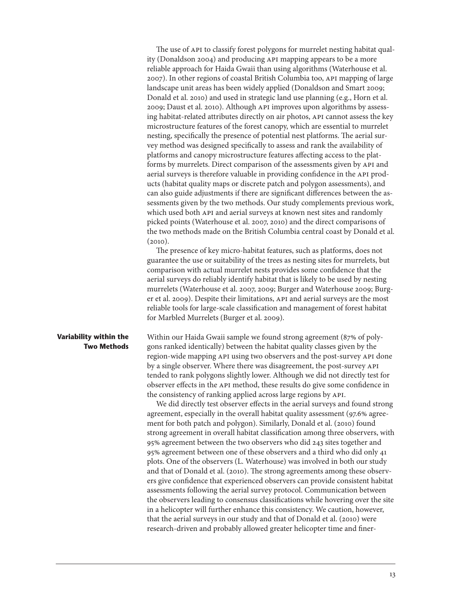<span id="page-20-0"></span>The use of API to classify forest polygons for murrelet nesting habitat quality (Donaldson 2004) and producing API mapping appears to be a more reliable approach for Haida Gwaii than using algorithms (Waterhouse et al. 2007). In other regions of coastal British Columbia too, API mapping of large landscape unit areas has been widely applied (Donaldson and Smart 2009; Donald et al. 200) and used in strategic land use planning (e.g., Horn et al. 2009; Daust et al. 200). Although API improves upon algorithms by assessing habitat-related attributes directly on air photos, API cannot assess the key microstructure features of the forest canopy, which are essential to murrelet nesting, specifically the presence of potential nest platforms. The aerial survey method was designed specifically to assess and rank the availability of platforms and canopy microstructure features affecting access to the platforms by murrelets. Direct comparison of the assessments given by API and aerial surveys is therefore valuable in providing confidence in the API products (habitat quality maps or discrete patch and polygon assessments), and can also guide adjustments if there are significant differences between the assessments given by the two methods. Our study complements previous work, which used both API and aerial surveys at known nest sites and randomly picked points (Waterhouse et al. 2007, 200) and the direct comparisons of the two methods made on the British Columbia central coast by Donald et al.  $(2010).$ 

The presence of key micro-habitat features, such as platforms, does not guarantee the use or suitability of the trees as nesting sites for murrelets, but comparison with actual murrelet nests provides some confidence that the aerial surveys do reliably identify habitat that is likely to be used by nesting murrelets (Waterhouse et al. 2007, 2009; Burger and Waterhouse 2009; Burger et al. 2009). Despite their limitations, API and aerial surveys are the most reliable tools for large-scale classification and management of forest habitat for Marbled Murrelets (Burger et al. 2009).

**Variability within the Two Methods** Within our Haida Gwaii sample we found strong agreement (87% of polygons ranked identically) between the habitat quality classes given by the region-wide mapping API using two observers and the post-survey API done by a single observer. Where there was disagreement, the post-survey API tended to rank polygons slightly lower. Although we did not directly test for observer effects in the API method, these results do give some confidence in the consistency of ranking applied across large regions by API.

We did directly test observer effects in the aerial surveys and found strong agreement, especially in the overall habitat quality assessment (97.6% agreement for both patch and polygon). Similarly, Donald et al. (2010) found strong agreement in overall habitat classification among three observers, with 95% agreement between the two observers who did 243 sites together and 95% agreement between one of these observers and a third who did only 4 plots. One of the observers (L. Waterhouse) was involved in both our study and that of Donald et al. (200). The strong agreements among these observers give confidence that experienced observers can provide consistent habitat assessments following the aerial survey protocol. Communication between the observers leading to consensus classifications while hovering over the site in a helicopter will further enhance this consistency. We caution, however, that the aerial surveys in our study and that of Donald et al. (200) were research-driven and probably allowed greater helicopter time and finer-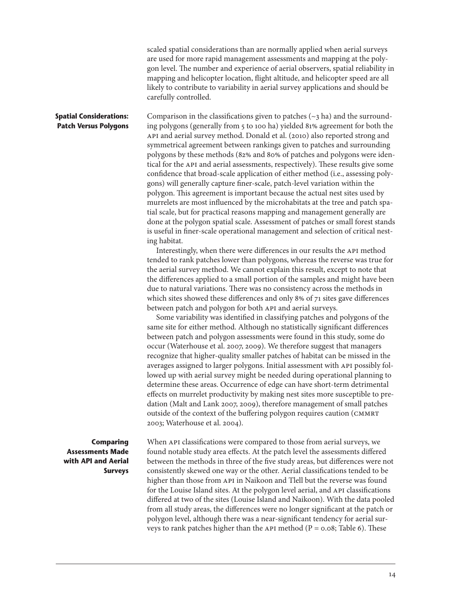scaled spatial considerations than are normally applied when aerial surveys are used for more rapid management assessments and mapping at the polygon level. The number and experience of aerial observers, spatial reliability in mapping and helicopter location, flight altitude, and helicopter speed are all likely to contribute to variability in aerial survey applications and should be carefully controlled.

#### <span id="page-21-0"></span>**Spatial Considerations: Patch Versus Polygons**

Comparison in the classifications given to patches  $(\sim$ 3 ha) and the surrounding polygons (generally from 5 to 100 ha) yielded 81% agreement for both the API and aerial survey method. Donald et al. (200) also reported strong and symmetrical agreement between rankings given to patches and surrounding polygons by these methods (82% and 80% of patches and polygons were identical for the API and aerial assessments, respectively). These results give some confidence that broad-scale application of either method (i.e., assessing polygons) will generally capture finer-scale, patch-level variation within the polygon. This agreement is important because the actual nest sites used by murrelets are most influenced by the microhabitats at the tree and patch spatial scale, but for practical reasons mapping and management generally are done at the polygon spatial scale. Assessment of patches or small forest stands is useful in finer-scale operational management and selection of critical nesting habitat.

Interestingly, when there were differences in our results the API method tended to rank patches lower than polygons, whereas the reverse was true for the aerial survey method. We cannot explain this result, except to note that the differences applied to a small portion of the samples and might have been due to natural variations. There was no consistency across the methods in which sites showed these differences and only 8% of 71 sites gave differences between patch and polygon for both API and aerial surveys.

Some variability was identified in classifying patches and polygons of the same site for either method. Although no statistically significant differences between patch and polygon assessments were found in this study, some do occur (Waterhouse et al. 2007, 2009). We therefore suggest that managers recognize that higher-quality smaller patches of habitat can be missed in the averages assigned to larger polygons. Initial assessment with API possibly followed up with aerial survey might be needed during operational planning to determine these areas. Occurrence of edge can have short-term detrimental effects on murrelet productivity by making nest sites more susceptible to predation (Malt and Lank 2007, 2009), therefore management of small patches outside of the context of the buffering polygon requires caution (CMMRT 2003; Waterhouse et al. 2004).

#### **Comparing Assessments Made with API and Aerial Surveys**

When API classifications were compared to those from aerial surveys, we found notable study area effects. At the patch level the assessments differed between the methods in three of the five study areas, but differences were not consistently skewed one way or the other. Aerial classifications tended to be higher than those from API in Naikoon and Tlell but the reverse was found for the Louise Island sites. At the polygon level aerial, and API classifications differed at two of the sites (Louise Island and Naikoon). With the data pooled from all study areas, the differences were no longer significant at the patch or polygon level, although there was a near-significant tendency for aerial surveys to rank patches higher than the API method ( $P = 0.08$ ; Table 6). These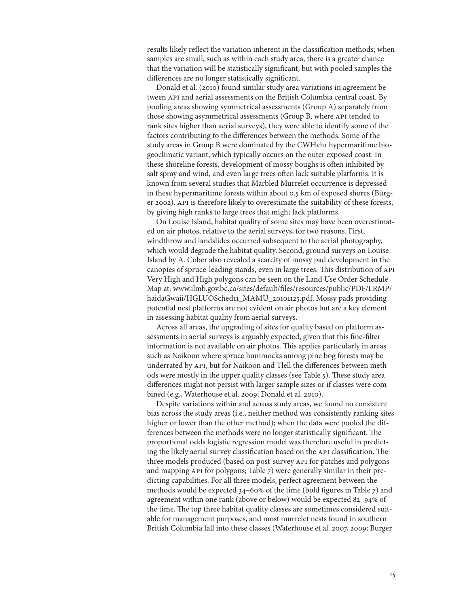results likely reflect the variation inherent in the classification methods; when samples are small, such as within each study area, there is a greater chance that the variation will be statistically significant, but with pooled samples the differences are no longer statistically significant.

Donald et al. (200) found similar study area variations in agreement between API and aerial assessments on the British Columbia central coast. By pooling areas showing symmetrical assessments (Group A) separately from those showing asymmetrical assessments (Group B, where API tended to rank sites higher than aerial surveys), they were able to identify some of the factors contributing to the differences between the methods. Some of the study areas in Group B were dominated by the CWHvhi hypermaritime biogeoclimatic variant, which typically occurs on the outer exposed coast. In these shoreline forests, development of mossy boughs is often inhibited by salt spray and wind, and even large trees often lack suitable platforms. It is known from several studies that Marbled Murrelet occurrence is depressed in these hypermaritime forests within about 0.5 km of exposed shores (Burger 2002). API is therefore likely to overestimate the suitability of these forests, by giving high ranks to large trees that might lack platforms.

On Louise Island, habitat quality of some sites may have been overestimated on air photos, relative to the aerial surveys, for two reasons. First, windthrow and landslides occurred subsequent to the aerial photography, which would degrade the habitat quality. Second, ground surveys on Louise Island by A. Cober also revealed a scarcity of mossy pad development in the canopies of spruce-leading stands, even in large trees. This distribution of API Very High and High polygons can be seen on the Land Use Order Schedule Map at: www.ilmb.gov.bc.ca/sites/default/files/resources/public/PDF/LRMP/ haidaGwaii/HGLUOSched11\_MAMU\_20101125.pdf. Mossy pads providing potential nest platforms are not evident on air photos but are a key element in assessing habitat quality from aerial surveys.

Across all areas, the upgrading of sites for quality based on platform assessments in aerial surveys is arguably expected, given that this fine-filter information is not available on air photos. This applies particularly in areas such as Naikoon where spruce hummocks among pine bog forests may be underrated by API, but for Naikoon and Tlell the differences between methods were mostly in the upper quality classes (see Table 5). These study area differences might not persist with larger sample sizes or if classes were combined (e.g., Waterhouse et al. 2009; Donald et al. 200).

Despite variations within and across study areas, we found no consistent bias across the study areas (i.e., neither method was consistently ranking sites higher or lower than the other method); when the data were pooled the differences between the methods were no longer statistically significant. The proportional odds logistic regression model was therefore useful in predicting the likely aerial survey classification based on the API classification. The three models produced (based on post-survey API for patches and polygons and mapping API for polygons; Table 7) were generally similar in their predicting capabilities. For all three models, perfect agreement between the methods would be expected 34–60% of the time (bold figures in Table 7) and agreement within one rank (above or below) would be expected 82–94% of the time. The top three habitat quality classes are sometimes considered suitable for management purposes, and most murrelet nests found in southern British Columbia fall into these classes (Waterhouse et al. 2007, 2009; Burger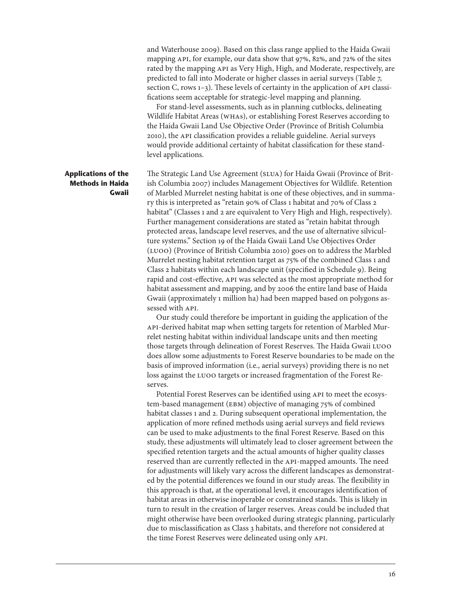<span id="page-23-0"></span>and Waterhouse 2009). Based on this class range applied to the Haida Gwaii mapping API, for example, our data show that 97%, 82%, and 72% of the sites rated by the mapping API as Very High, High, and Moderate, respectively, are predicted to fall into Moderate or higher classes in aerial surveys (Table 7, section C, rows 1-3). These levels of certainty in the application of API classifications seem acceptable for strategic-level mapping and planning.

For stand-level assessments, such as in planning cutblocks, delineating Wildlife Habitat Areas (WHAs), or establishing Forest Reserves according to the Haida Gwaii Land Use Objective Order (Province of British Columbia 200), the API classification provides a reliable guideline. Aerial surveys would provide additional certainty of habitat classification for these standlevel applications.

#### **Applications of the Methods in Haida Gwaii**

The Strategic Land Use Agreement (SLUA) for Haida Gwaii (Province of British Columbia 2007) includes Management Objectives for Wildlife. Retention of Marbled Murrelet nesting habitat is one of these objectives, and in summary this is interpreted as "retain 90% of Class habitat and 70% of Class 2 habitat" (Classes 1 and 2 are equivalent to Very High and High, respectively). Further management considerations are stated as "retain habitat through protected areas, landscape level reserves, and the use of alternative silviculture systems." Section 19 of the Haida Gwaii Land Use Objectives Order (LUOO) (Province of British Columbia 200) goes on to address the Marbled Murrelet nesting habitat retention target as 75% of the combined Class 1 and Class 2 habitats within each landscape unit (specified in Schedule 9). Being rapid and cost-effective, API was selected as the most appropriate method for habitat assessment and mapping, and by 2006 the entire land base of Haida Gwaii (approximately 1 million ha) had been mapped based on polygons assessed with API.

Our study could therefore be important in guiding the application of the API-derived habitat map when setting targets for retention of Marbled Murrelet nesting habitat within individual landscape units and then meeting those targets through delineation of Forest Reserves. The Haida Gwaii LUOO does allow some adjustments to Forest Reserve boundaries to be made on the basis of improved information (i.e., aerial surveys) providing there is no net loss against the LUOO targets or increased fragmentation of the Forest Reserves.

Potential Forest Reserves can be identified using API to meet the ecosystem-based management (EBM) objective of managing 75% of combined habitat classes 1 and 2. During subsequent operational implementation, the application of more refined methods using aerial surveys and field reviews can be used to make adjustments to the final Forest Reserve. Based on this study, these adjustments will ultimately lead to closer agreement between the specified retention targets and the actual amounts of higher quality classes reserved than are currently reflected in the API-mapped amounts. The need for adjustments will likely vary across the different landscapes as demonstrated by the potential differences we found in our study areas. The flexibility in this approach is that, at the operational level, it encourages identification of habitat areas in otherwise inoperable or constrained stands. This is likely in turn to result in the creation of larger reserves. Areas could be included that might otherwise have been overlooked during strategic planning, particularly due to misclassification as Class 3 habitats, and therefore not considered at the time Forest Reserves were delineated using only API.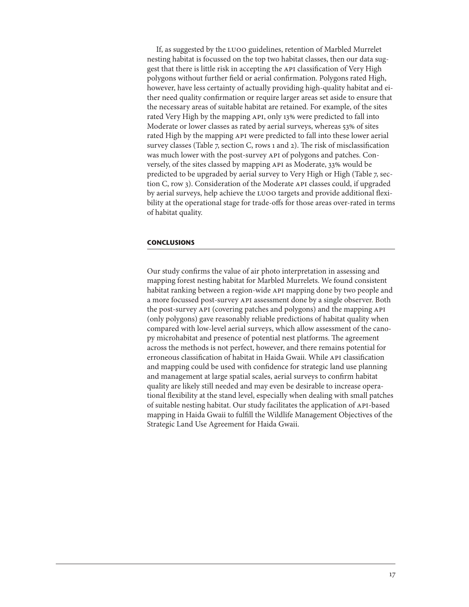<span id="page-24-0"></span>If, as suggested by the LUOO guidelines, retention of Marbled Murrelet nesting habitat is focussed on the top two habitat classes, then our data suggest that there is little risk in accepting the API classification of Very High polygons without further field or aerial confirmation. Polygons rated High, however, have less certainty of actually providing high-quality habitat and either need quality confirmation or require larger areas set aside to ensure that the necessary areas of suitable habitat are retained. For example, of the sites rated Very High by the mapping API, only 13% were predicted to fall into Moderate or lower classes as rated by aerial surveys, whereas 53% of sites rated High by the mapping API were predicted to fall into these lower aerial survey classes (Table  $7$ , section C, rows 1 and 2). The risk of misclassification was much lower with the post-survey API of polygons and patches. Conversely, of the sites classed by mapping API as Moderate, 33% would be predicted to be upgraded by aerial survey to Very High or High (Table 7, section C, row 3). Consideration of the Moderate API classes could, if upgraded by aerial surveys, help achieve the LUOO targets and provide additional flexibility at the operational stage for trade-offs for those areas over-rated in terms of habitat quality.

#### **CONCLUSIONS**

Our study confirms the value of air photo interpretation in assessing and mapping forest nesting habitat for Marbled Murrelets. We found consistent habitat ranking between a region-wide API mapping done by two people and a more focussed post-survey API assessment done by a single observer. Both the post-survey API (covering patches and polygons) and the mapping API (only polygons) gave reasonably reliable predictions of habitat quality when compared with low-level aerial surveys, which allow assessment of the canopy microhabitat and presence of potential nest platforms. The agreement across the methods is not perfect, however, and there remains potential for erroneous classification of habitat in Haida Gwaii. While API classification and mapping could be used with confidence for strategic land use planning and management at large spatial scales, aerial surveys to confirm habitat quality are likely still needed and may even be desirable to increase operational flexibility at the stand level, especially when dealing with small patches of suitable nesting habitat. Our study facilitates the application of API-based mapping in Haida Gwaii to fulfill the Wildlife Management Objectives of the Strategic Land Use Agreement for Haida Gwaii.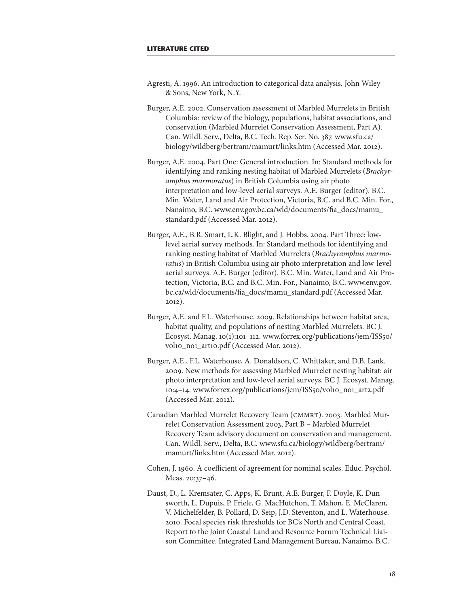- <span id="page-25-0"></span>Agresti, A. 1996. An introduction to categorical data analysis. John Wiley & Sons, New York, N.Y.
- Burger, A.E. 2002. Conservation assessment of Marbled Murrelets in British Columbia: review of the biology, populations, habitat associations, and conservation (Marbled Murrelet Conservation Assessment, Part A). Can. Wildl. Serv., Delta, B.C. Tech. Rep. Ser. No. 387. www.sfu.ca/ biology/wildberg/bertram/mamurt/links.htm (Accessed Mar. 202).
- Burger, A.E. 2004. Part One: General introduction. In: Standard methods for identifying and ranking nesting habitat of Marbled Murrelets (*Brachyramphus marmoratus*) in British Columbia using air photo interpretation and low-level aerial surveys. A.E. Burger (editor). B.C. Min. Water, Land and Air Protection, Victoria, B.C. and B.C. Min. For., Nanaimo, B.C. www.env.gov.bc.ca/wld/documents/fia\_docs/mamu\_ standard.pdf (Accessed Mar. 2012).
- Burger, A.E., B.R. Smart, L.K. Blight, and J. Hobbs. 2004. Part Three: lowlevel aerial survey methods. In: Standard methods for identifying and ranking nesting habitat of Marbled Murrelets (*Brachyramphus marmoratus*) in British Columbia using air photo interpretation and low-level aerial surveys. A.E. Burger (editor). B.C. Min. Water, Land and Air Protection, Victoria, B.C. and B.C. Min. For., Nanaimo, B.C. www.env.gov. bc.ca/wld/documents/fia\_docs/mamu\_standard.pdf (Accessed Mar.  $2012$ ).
- Burger, A.E. and F.L. Waterhouse. 2009. Relationships between habitat area, habitat quality, and populations of nesting Marbled Murrelets. BC J. Ecosyst. Manag. 10(1):101-112. www.forrex.org/publications/jem/ISS50/ vol10\_no1\_art10.pdf (Accessed Mar. 2012).
- Burger, A.E., F.L. Waterhouse, A. Donaldson, C. Whittaker, and D.B. Lank. 2009. New methods for assessing Marbled Murrelet nesting habitat: air photo interpretation and low-level aerial surveys. BC J. Ecosyst. Manag. 10:4–14. www.forrex.org/publications/jem/ISS50/vol10\_no1\_art2.pdf (Accessed Mar. 2012).
- Canadian Marbled Murrelet Recovery Team (CMMRT). 2003. Marbled Murrelet Conservation Assessment 2003, Part B – Marbled Murrelet Recovery Team advisory document on conservation and management. Can. Wildl. Serv., Delta, B.C. www.sfu.ca/biology/wildberg/bertram/ mamurt/links.htm (Accessed Mar. 2012).
- Cohen, J. 960. A coefficient of agreement for nominal scales. Educ. Psychol. Meas. 20:37–46.
- Daust, D., L. Kremsater, C. Apps, K. Brunt, A.E. Burger, F. Doyle, K. Dunsworth, L. Dupuis, P. Friele, G. MacHutchon, T. Mahon, E. McClaren, V. Michelfelder, B. Pollard, D. Seip, J.D. Steventon, and L. Waterhouse. 200. Focal species risk thresholds for BC's North and Central Coast. Report to the Joint Coastal Land and Resource Forum Technical Liaison Committee. Integrated Land Management Bureau, Nanaimo, B.C.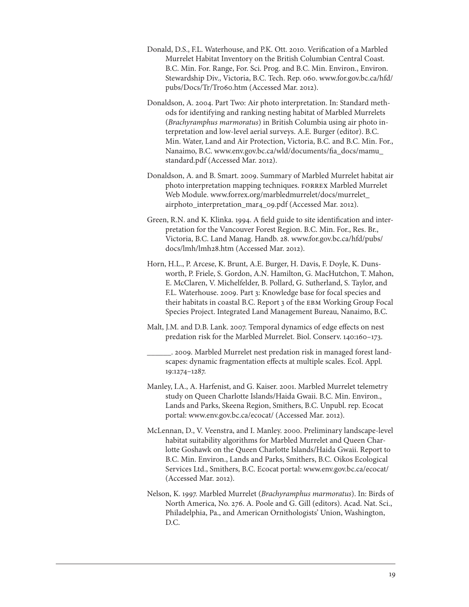- Donald, D.S., F.L. Waterhouse, and P.K. Ott. 200. Verification of a Marbled Murrelet Habitat Inventory on the British Columbian Central Coast. B.C. Min. For. Range, For. Sci. Prog. and B.C. Min. Environ., Environ. Stewardship Div., Victoria, B.C. Tech. Rep. 060. www.for.gov.bc.ca/hfd/ pubs/Docs/Tr/Tro60.htm (Accessed Mar. 2012).
- Donaldson, A. 2004. Part Two: Air photo interpretation. In: Standard methods for identifying and ranking nesting habitat of Marbled Murrelets (*Brachyramphus marmoratus*) in British Columbia using air photo interpretation and low-level aerial surveys. A.E. Burger (editor). B.C. Min. Water, Land and Air Protection, Victoria, B.C. and B.C. Min. For., Nanaimo, B.C. www.env.gov.bc.ca/wld/documents/fia\_docs/mamu\_ standard.pdf (Accessed Mar. 2012).
- Donaldson, A. and B. Smart. 2009. Summary of Marbled Murrelet habitat air photo interpretation mapping techniques. FORREX Marbled Murrelet Web Module. www.forrex.org/marbledmurrelet/docs/murrelet\_ airphoto\_interpretation\_mar4\_09.pdf (Accessed Mar. 2012).
- Green, R.N. and K. Klinka. 1994. A field guide to site identification and interpretation for the Vancouver Forest Region. B.C. Min. For., Res. Br., Victoria, B.C. Land Manag. Handb. 28. www.for.gov.bc.ca/hfd/pubs/ docs/lmh/lmh28.htm (Accessed Mar. 2012).
- Horn, H.L., P. Arcese, K. Brunt, A.E. Burger, H. Davis, F. Doyle, K. Dunsworth, P. Friele, S. Gordon, A.N. Hamilton, G. MacHutchon, T. Mahon, E. McClaren, V. Michelfelder, B. Pollard, G. Sutherland, S. Taylor, and F.L. Waterhouse. 2009. Part 3: Knowledge base for focal species and their habitats in coastal B.C. Report 3 of the EBM Working Group Focal Species Project. Integrated Land Management Bureau, Nanaimo, B.C.
- Malt, J.M. and D.B. Lank. 2007. Temporal dynamics of edge effects on nest predation risk for the Marbled Murrelet. Biol. Conserv. 140:160-173.
	- \_\_\_\_\_\_. 2009. Marbled Murrelet nest predation risk in managed forest landscapes: dynamic fragmentation effects at multiple scales. Ecol. Appl. 9:274–287.
- Manley, I.A., A. Harfenist, and G. Kaiser. 200. Marbled Murrelet telemetry study on Queen Charlotte Islands/Haida Gwaii. B.C. Min. Environ., Lands and Parks, Skeena Region, Smithers, B.C. Unpubl. rep. Ecocat portal: www.env.gov.bc.ca/ecocat/ (Accessed Mar. 2012).
- McLennan, D., V. Veenstra, and I. Manley. 2000. Preliminary landscape-level habitat suitability algorithms for Marbled Murrelet and Queen Charlotte Goshawk on the Queen Charlotte Islands/Haida Gwaii. Report to B.C. Min. Environ., Lands and Parks, Smithers, B.C. Oikos Ecological Services Ltd., Smithers, B.C. Ecocat portal: www.env.gov.bc.ca/ecocat/ (Accessed Mar. 2012).
- Nelson, K. 997. Marbled Murrelet (*Brachyramphus marmoratus*). In: Birds of North America, No. 276. A. Poole and G. Gill (editors). Acad. Nat. Sci., Philadelphia, Pa., and American Ornithologists' Union, Washington, D.C.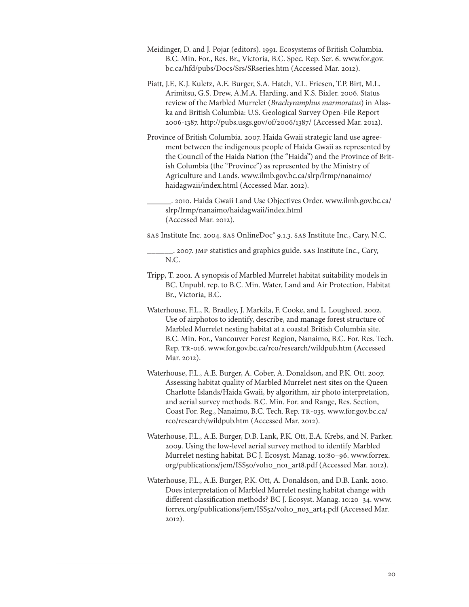- Meidinger, D. and J. Pojar (editors). 1991. Ecosystems of British Columbia. B.C. Min. For., Res. Br., Victoria, B.C. Spec. Rep. Ser. 6. www.for.gov. bc.ca/hfd/pubs/Docs/Srs/SRseries.htm (Accessed Mar. 2012).
- Piatt, J.F., K.J. Kuletz, A.E. Burger, S.A. Hatch, V.L. Friesen, T.P. Birt, M.L. Arimitsu, G.S. Drew, A.M.A. Harding, and K.S. Bixler. 2006. Status review of the Marbled Murrelet (*Brachyramphus marmoratus*) in Alaska and British Columbia: U.S. Geological Survey Open-File Report 2006-387. http://pubs.usgs.gov/of/2006/387/ (Accessed Mar. 202).
- Province of British Columbia. 2007. Haida Gwaii strategic land use agreement between the indigenous people of Haida Gwaii as represented by the Council of the Haida Nation (the "Haida") and the Province of British Columbia (the "Province") as represented by the Ministry of Agriculture and Lands. www.ilmb.gov.bc.ca/slrp/lrmp/nanaimo/ haidagwaii/index.html (Accessed Mar. 2012).
	- \_\_\_\_\_\_. 200. Haida Gwaii Land Use Objectives Order. www.ilmb.gov.bc.ca/ slrp/lrmp/nanaimo/haidagwaii/index.html (Accessed Mar. 2012).

SAS Institute Inc. 2004. SAS OnlineDoc® 9..3. SAS Institute Inc., Cary, N.C.

\_\_\_\_\_\_. 2007. JMP statistics and graphics guide. SAS Institute Inc., Cary, N.C.

- Tripp, T. 200. A synopsis of Marbled Murrelet habitat suitability models in BC. Unpubl. rep. to B.C. Min. Water, Land and Air Protection, Habitat Br., Victoria, B.C.
- Waterhouse, F.L., R. Bradley, J. Markila, F. Cooke, and L. Lougheed. 2002. Use of airphotos to identify, describe, and manage forest structure of Marbled Murrelet nesting habitat at a coastal British Columbia site. B.C. Min. For., Vancouver Forest Region, Nanaimo, B.C. For. Res. Tech. Rep. TR-06. www.for.gov.bc.ca/rco/research/wildpub.htm (Accessed Mar. 2012).
- Waterhouse, F.L., A.E. Burger, A. Cober, A. Donaldson, and P.K. Ott. 2007. Assessing habitat quality of Marbled Murrelet nest sites on the Queen Charlotte Islands/Haida Gwaii, by algorithm, air photo interpretation, and aerial survey methods. B.C. Min. For. and Range, Res. Section, Coast For. Reg., Nanaimo, B.C. Tech. Rep. TR-035. www.for.gov.bc.ca/ rco/research/wildpub.htm (Accessed Mar. 2012).
- Waterhouse, F.L., A.E. Burger, D.B. Lank, P.K. Ott, E.A. Krebs, and N. Parker. 2009. Using the low-level aerial survey method to identify Marbled Murrelet nesting habitat. BC J. Ecosyst. Manag. 10:80-96. www.forrex. org/publications/jem/ISS50/vol10\_no1\_art8.pdf (Accessed Mar. 2012).
- Waterhouse, F.L., A.E. Burger, P.K. Ott, A. Donaldson, and D.B. Lank. 200. Does interpretation of Marbled Murrelet nesting habitat change with different classification methods? BC J. Ecosyst. Manag. 10:20-34. www. forrex.org/publications/jem/ISS52/vol10\_no3\_art4.pdf (Accessed Mar. 202).